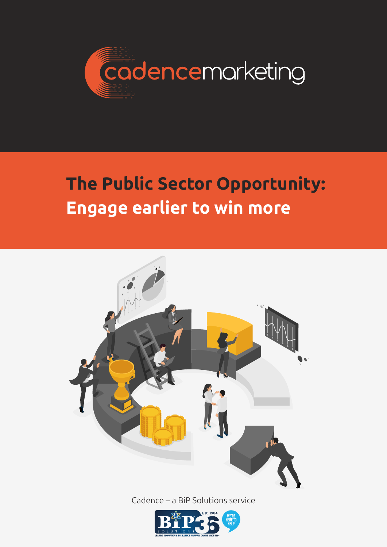

# **The Public Sector Opportunity: Engage earlier to win more**



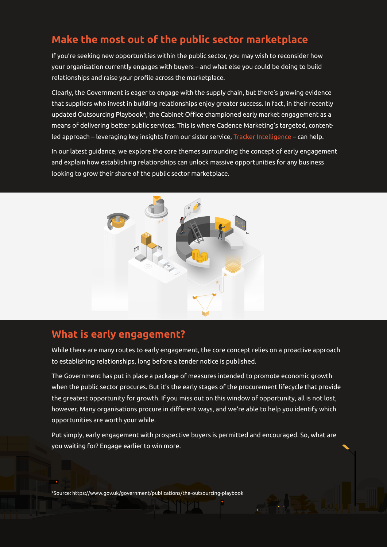### **Make the most out of the public sector marketplace**

If you're seeking new opportunities within the public sector, you may wish to reconsider how your organisation currently engages with buyers – and what else you could be doing to build relationships and raise your profile across the marketplace.

Clearly, the Government is eager to engage with the supply chain, but there's growing evidence that suppliers who invest in building relationships enjoy greater success. In fact, in their recently updated Outsourcing Playbook\*, the Cabinet Office championed early market engagement as a means of delivering better public services. This is where Cadence Marketing's targeted, content-led approach – leveraging key insights from our sister service, [Tracker Intelligence](https://www.trackerintelligence.com/) – can help.

In our latest guidance, we explore the core themes surrounding the concept of early engagement and explain how establishing relationships can unlock massive opportunities for any business looking to grow their share of the public sector marketplace.



### **What is early engagement?**

While there are many routes to early engagement, the core concept relies on a proactive approach to establishing relationships, long before a tender notice is published.

The Government has put in place a package of measures intended to promote economic growth when the public sector procures. But it's the early stages of the procurement lifecycle that provide the greatest opportunity for growth. If you miss out on this window of opportunity, all is not lost, however. Many organisations procure in different ways, and we're able to help you identify which opportunities are worth your while.

Put simply, early engagement with prospective buyers is permitted and encouraged. So, what are you waiting for? Engage earlier to win more.

\*Source: https://www.gov.uk/government/publications/the-outsourcing-playbook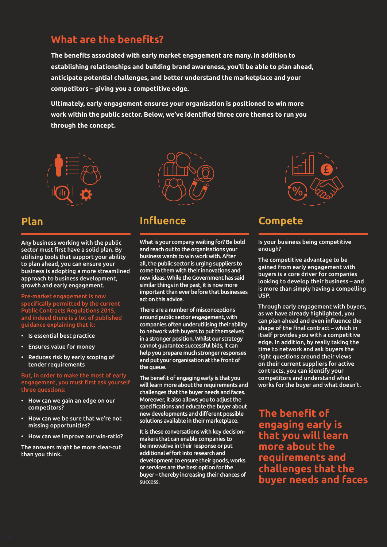### **What are the benefits?**

**The benefits associated with early market engagement are many. In addition to establishing relationships and building brand awareness, you'll be able to plan ahead, anticipate potential challenges, and better understand the marketplace and your competitors – giving you a competitive edge.**

**Ultimately, early engagement ensures your organisation is positioned to win more work within the public sector. Below, we've identified three core themes to run you through the concept.**



Any business working with the public sector must first have a solid plan. By utilising tools that support your ability to plan ahead, you can ensure your business is adopting a more streamlined approach to business development, growth and early engagement.

Pre-market engagement is now specifically permitted by the current Public Contracts Regulations 2015, and indeed there is a lot of published guidance explaining that it:

- Is essential best practice
- Ensures value for money
- Reduces risk by early scoping of tender requirements

### But, in order to make the most of early engagement, you must first ask yourself three questions:

- How can we gain an edge on our competitors?
- How can we be sure that we're not missing opportunities?
- How can we improve our win-ratio?

The answers might be more clear-cut than you think.



### **Plan Influence Compete**

What is your company waiting for? Be bold and reach out to the organisations your business wants to win work with. After all, the public sector is urging suppliers to come to them with their innovations and new ideas. While the Government has said similar things in the past, it is now more important than ever before that businesses act on this advice.

There are a number of misconceptions around public sector engagement, with companies often underutilising their ability to network with buyers to put themselves in a stronger position. Whilst our strategy cannot guarantee successful bids, it can help you prepare much stronger responses and put your organisation at the front of the queue.

The benefit of engaging early is that you will learn more about the requirements and challenges that the buyer needs and faces. Moreover, it also allows you to adjust the specifications and educate the buyer about new developments and different possible solutions available in their marketplace.

It is these conversations with key decisionmakers that can enable companies to be innovative in their response or put additional effort into research and development to ensure their goods, works or services are the best option for the buyer – thereby increasing their chances of success.



Is your business being competitive enough?

The competitive advantage to be gained from early engagement with buyers is a core driver for companies looking to develop their business – and is more than simply having a compelling USP.

Through early engagement with buyers, as we have already highlighted, you can plan ahead and even influence the shape of the final contract – which in itself provides you with a competitive edge. In addition, by really taking the time to network and ask buyers the right questions around their views on their current suppliers for active contracts, you can identify your competitors and understand what works for the buyer and what doesn't.

**The benefit of engaging early is that you will learn more about the requirements and challenges that the buyer needs and faces**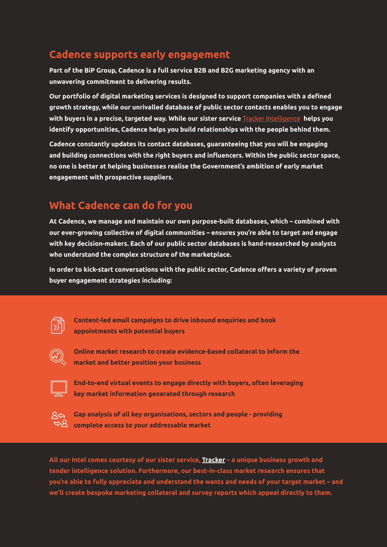### **Cadence supports early engagement**

**Part of the BiP Group, Cadence is a full service B2B and B2G marketing agency with an unwavering commitment to delivering results.**

**Our portfolio of digital marketing services is designed to support companies with a defined growth strategy, while our unrivalled database of public sector contacts enables you to engage with buyers in a precise, targeted way. While our sister service** [Tracker Intelligence](https://www.trackerintelligence.com/) **helps you identify opportunities, Cadence helps you build relationships with the people behind them.**

**Cadence constantly updates its contact databases, guaranteeing that you will be engaging and building connections with the right buyers and influencers. Within the public sector space, no one is better at helping businesses realise the Government's ambition of early market engagement with prospective suppliers.**

### **What Cadence can do for you**

**At Cadence, we manage and maintain our own purpose-built databases, which – combined with our ever-growing collective of digital communities – ensures you're able to target and engage with key decision-makers. Each of our public sector databases is hand-researched by analysts who understand the complex structure of the marketplace.**

**In order to kick-start conversations with the public sector, Cadence offers a variety of proven buyer engagement strategies including:**



**Content-led email campaigns to drive inbound enquiries and book appointments with potential buyers**



**Online market research to create evidence-based collateral to inform the market and better position your business**



**End-to-end virtual events to engage directly with buyers, often leveraging key market information generated through research**



**Gap analysis of all key organisations, sectors and people - providing complete access to your addressable market**

**All our Intel comes courtesy of our sister service, [Tracker](https://www.trackerintelligence.com/) – a unique business growth and tender intelligence solution. Furthermore, our best-in-class market research ensures that you're able to fully appreciate and understand the wants and needs of your target market – and we'll create bespoke marketing collateral and survey reports which appeal directly to them.**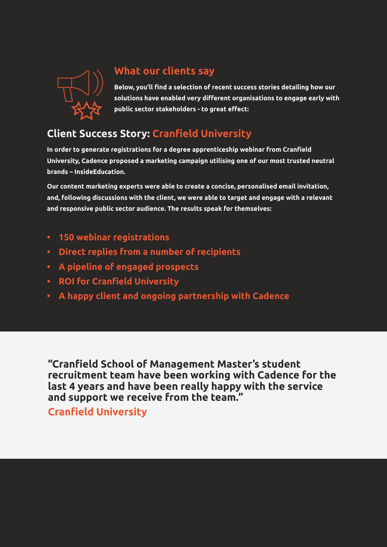

### **What our clients say**

**Below, you'll find a selection of recent success stories detailing how our solutions have enabled very different organisations to engage early with public sector stakeholders - to great effect:**

## **Client Success Story: Cranfield University**

**In order to generate registrations for a degree apprenticeship webinar from Cranfield University, Cadence proposed a marketing campaign utilising one of our most trusted neutral brands – InsideEducation.**

**Our content marketing experts were able to create a concise, personalised email invitation, and, following discussions with the client, we were able to target and engage with a relevant and responsive public sector audience. The results speak for themselves:**

- **• 150 webinar registrations**
- **• Direct replies from a number of recipients**
- **• A pipeline of engaged prospects**
- **• ROI for Cranfield University**
- **• A happy client and ongoing partnership with Cadence**

**"Cranfield School of Management Master's student recruitment team have been working with Cadence for the last 4 years and have been really happy with the service and support we receive from the team."**

**Cranfield University**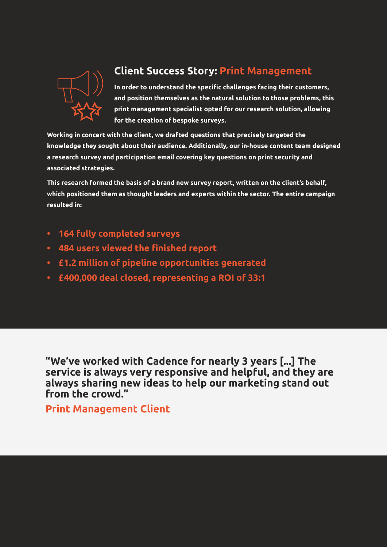

### **Client Success Story: Print Management**

**In order to understand the specific challenges facing their customers, and position themselves as the natural solution to those problems, this print management specialist opted for our research solution, allowing for the creation of bespoke surveys.**

**Working in concert with the client, we drafted questions that precisely targeted the knowledge they sought about their audience. Additionally, our in-house content team designed a research survey and participation email covering key questions on print security and associated strategies.**

**This research formed the basis of a brand new survey report, written on the client's behalf, which positioned them as thought leaders and experts within the sector. The entire campaign resulted in:**

- **• 164 fully completed surveys**
- **• 484 users viewed the finished report**
- **• £1.2 million of pipeline opportunities generated**
- **• £400,000 deal closed, representing a ROI of 33:1**

**"We've worked with Cadence for nearly 3 years [...] The service is always very responsive and helpful, and they are always sharing new ideas to help our marketing stand out from the crowd."**

**Print Management Client**